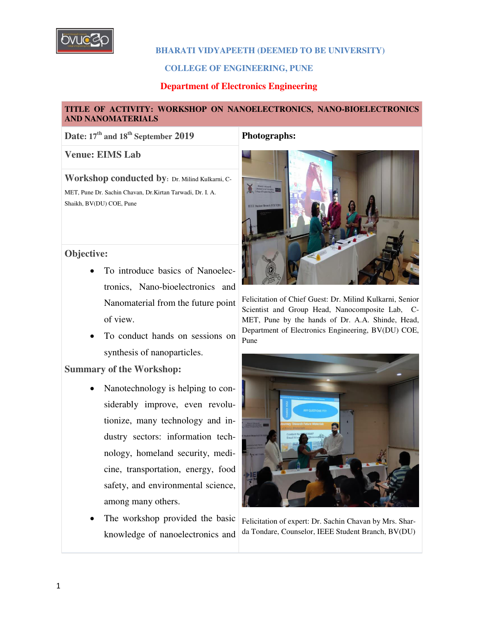

#### **COLLEGE OF ENGINEERING, PUNE**

#### **Department of Electronics Engineering**

#### **TITLE OF ACTIVITY: WORKSHOP ON NANOELECTRONICS, NANO-BIOELECTRONICS AND NANOMATERIALS**

**Date: 17th and 18th September 2019 Photographs:** 

**Venue: EIMS Lab**

**Workshop conducted by:** Dr. Milind Kulkarni, C-

MET, Pune Dr. Sachin Chavan, Dr.Kirtan Tarwadi, Dr. I. A. Shaikh, BV(DU) COE, Pune

#### **Objective:**

- To introduce basics of Nanoelectronics, Nano-bioelectronics and Nanomaterial from the future point of view.
- To conduct hands on sessions on synthesis of nanoparticles.

### **Summary of the Workshop:**

- Nanotechnology is helping to considerably improve, even revolutionize, many technology and industry sectors: information technology, homeland security, medicine, transportation, energy, food safety, and environmental science, among many others.
- The workshop provided the basic knowledge of nanoelectronics and



Felicitation of Chief Guest: Dr. Milind Kulkarni, Senior Scientist and Group Head, Nanocomposite Lab, C-MET, Pune by the hands of Dr. A.A. Shinde, Head, Department of Electronics Engineering, BV(DU) COE, Pune



Felicitation of expert: Dr. Sachin Chavan by Mrs. Sharda Tondare, Counselor, IEEE Student Branch, BV(DU)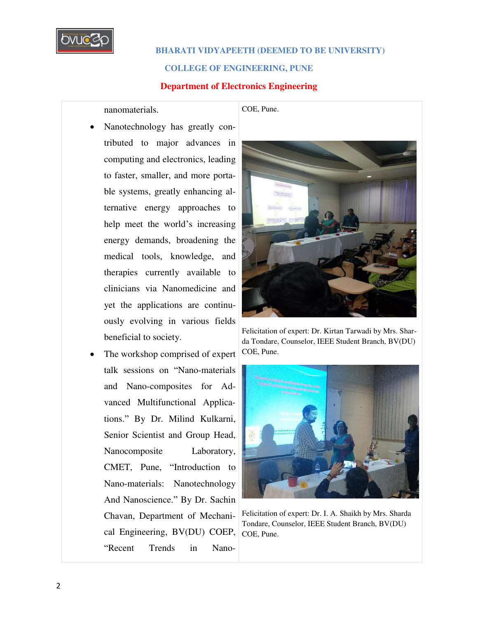

#### **COLLEGE OF ENGINEERING, PUNE**

#### **Department of Electronics Engineering**

nanomaterials.

- Nanotechnology has greatly contributed to major advances in computing and electronics, leading to faster, smaller, and more portable systems, greatly enhancing alternative energy approaches to help meet the world's increasing energy demands, broadening the medical tools, knowledge, and therapies currently available to clinicians via Nanomedicine and yet the applications are continuously evolving in various fields beneficial to society.
- The workshop comprised of expert talk sessions on "Nano-materials and Nano-composites for Advanced Multifunctional Applications." By Dr. Milind Kulkarni, Senior Scientist and Group Head, Nanocomposite Laboratory, CMET, Pune, "Introduction to Nano-materials: Nanotechnology And Nanoscience." By Dr. Sachin Chavan, Department of Mechanical Engineering, BV(DU) COEP, "Recent Trends in Nano-

COE, Pune.



Felicitation of expert: Dr. Kirtan Tarwadi by Mrs. Sharda Tondare, Counselor, IEEE Student Branch, BV(DU) COE, Pune.



Felicitation of expert: Dr. I. A. Shaikh by Mrs. Sharda Tondare, Counselor, IEEE Student Branch, BV(DU) COE, Pune.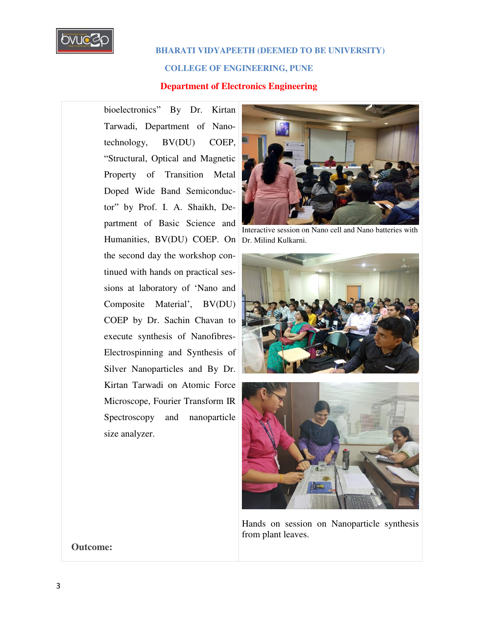

#### **COLLEGE OF ENGINEERING, PUNE**

#### **Department of Electronics Engineering**

bioelectronics" By Dr. Kirtan Tarwadi, Department of Nanotechnology, BV(DU) COEP, "Structural, Optical and Magnetic Property of Transition Metal Doped Wide Band Semiconductor" by Prof. I. A. Shaikh, Department of Basic Science and Humanities, BV(DU) COEP. On Dr. Milind Kulkarni. the second day the workshop continued with hands on practical sessions at laboratory of 'Nano and Composite Material', BV(DU) COEP by Dr. Sachin Chavan to execute synthesis of Nanofibres-Electrospinning and Synthesis of Silver Nanoparticles and By Dr. Kirtan Tarwadi on Atomic Force Microscope, Fourier Transform IR Spectroscopy and nanoparticle size analyzer.



Interactive session on Nano cell and Nano batteries with





Hands on session on Nanoparticle synthesis from plant leaves.

**Outcome:**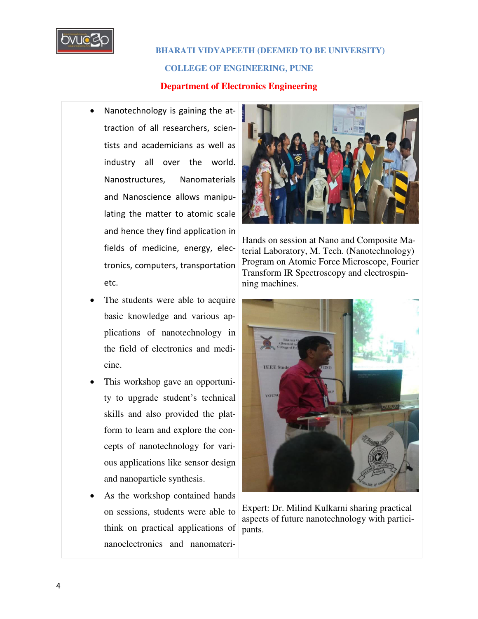

**COLLEGE OF ENGINEERING, PUNE**

#### **Department of Electronics Engineering**

- Nanotechnology is gaining the attraction of all researchers, scientists and academicians as well as industry all over the world. Nanostructures, Nanomaterials and Nanoscience allows manipulating the matter to atomic scale and hence they find application in fields of medicine, energy, electronics, computers, transportation etc.
- The students were able to acquire basic knowledge and various applications of nanotechnology in the field of electronics and medicine.
- This workshop gave an opportunity to upgrade student's technical skills and also provided the platform to learn and explore the concepts of nanotechnology for various applications like sensor design and nanoparticle synthesis.
- As the workshop contained hands on sessions, students were able to think on practical applications of nanoelectronics and nanomateri-



Hands on session at Nano and Composite Material Laboratory, M. Tech. (Nanotechnology) Program on Atomic Force Microscope, Fourier Transform IR Spectroscopy and electrospinning machines.



Expert: Dr. Milind Kulkarni sharing practical aspects of future nanotechnology with participants.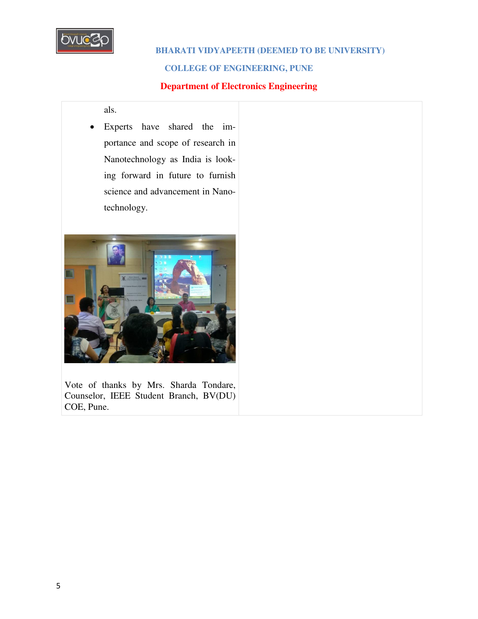

#### **COLLEGE OF ENGINEERING, PUNE**

### **Department of Electronics Engineering**

als.

 Experts have shared the importance and scope of research in Nanotechnology as India is looking forward in future to furnish science and advancement in Nanotechnology.



Vote of thanks by Mrs. Sharda Tondare, Counselor, IEEE Student Branch, BV(DU) COE, Pune.